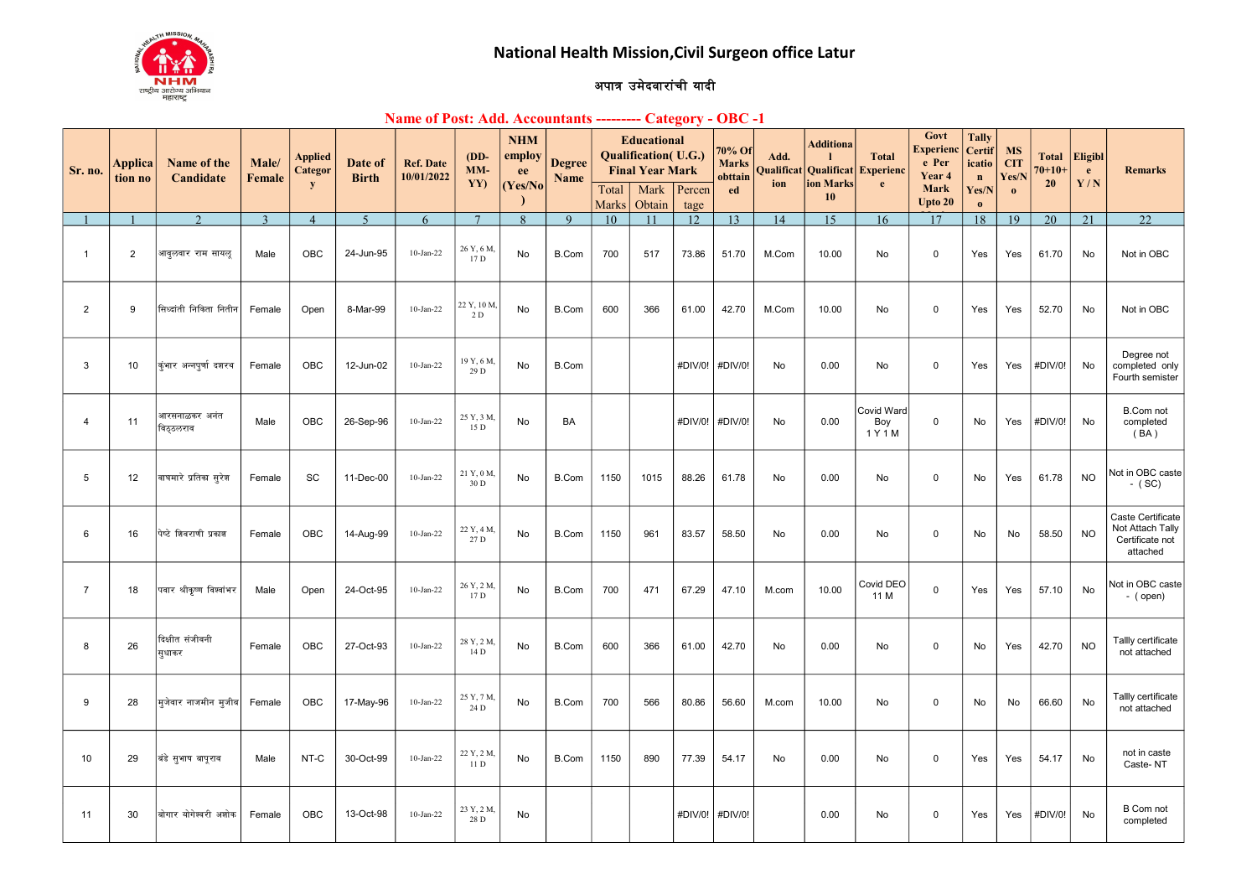

## अपात्र उमेदवारांची यादी

## Name of Post: Add. Accountants --------- Category - OBC -1

| Sr. no.        | Applica<br>tion no | Name of the<br>Candidate   | Male/<br><b>Female</b> | <b>Applied</b><br>Categor | Date of<br><b>Birth</b> | <b>Ref. Date</b><br>10/01/2022 | $(DD-$<br>MM-<br>YY) | <b>NHM</b><br>employ<br>ee | <b>Degree</b><br>Name |                | <b>Educational</b><br><b>Qualification</b> (U.G.)<br><b>Final Year Mark</b> |                | 70% Of<br><b>Marks</b><br>obttain | Add.<br>Qualificat | <b>Additiona</b><br>Qualificat<br>ion Marks | <b>Total</b><br>Experienc    | Govt<br><b>Experienc</b><br>e Per<br>Year 4 | <b>Tally</b><br><b>Certif</b><br>icatio<br>$\mathbf n$ | <b>MS</b><br><b>CIT</b><br>Yes/N | <b>Total</b><br>$70 + 10 +$<br><b>20</b> | <b>Eligibl</b><br>$\mathbf{e}$<br>Y/N | <b>Remarks</b>                                                       |
|----------------|--------------------|----------------------------|------------------------|---------------------------|-------------------------|--------------------------------|----------------------|----------------------------|-----------------------|----------------|-----------------------------------------------------------------------------|----------------|-----------------------------------|--------------------|---------------------------------------------|------------------------------|---------------------------------------------|--------------------------------------------------------|----------------------------------|------------------------------------------|---------------------------------------|----------------------------------------------------------------------|
|                |                    |                            |                        | ${\bf y}$                 |                         |                                |                      | (Yes/No)                   |                       | Total<br>Marks | Mark<br>Obtain                                                              | Percen<br>tage | ed                                | ion                | 10                                          | e                            | Mark<br>Upto 20                             | Yes/N<br>$\mathbf{o}$                                  | $\mathbf{0}$                     |                                          |                                       |                                                                      |
|                |                    | $\mathcal{D}$              | $\overline{3}$         | $\overline{4}$            | $\overline{5}$          | 6                              | $\overline{7}$       | $\mathbf{8}$               | 9                     | 10             |                                                                             | 12             | 13                                | 14                 | 15                                          | 16                           | 17                                          | 18                                                     | 19                               | 20                                       | 21                                    | 22                                                                   |
| $\overline{1}$ | 2                  | आवुलवार राम सायलु          | Male                   | OBC                       | 24-Jun-95               | $10$ -Jan-22                   | 26 Y, 6 M.<br>17D    | No                         | B.Com                 | 700            | 517                                                                         | 73.86          | 51.70                             | M.Com              | 10.00                                       | No                           | $\Omega$                                    | Yes                                                    | Yes                              | 61.70                                    | No                                    | Not in OBC                                                           |
| $\overline{2}$ | 9                  | सिध्दांती निकिता नितीन     | Female                 | Open                      | 8-Mar-99                | $10-Jan-22$                    | 22 Y, 10 M<br>2 D    | No                         | B.Com                 | 600            | 366                                                                         | 61.00          | 42.70                             | M.Com              | 10.00                                       | No                           | 0                                           | Yes                                                    | Yes                              | 52.70                                    | No                                    | Not in OBC                                                           |
| 3              | 10                 | कुंभार अन्नपर्णा दशरथ      | Female                 | <b>OBC</b>                | 12-Jun-02               | $10$ -Jan-22                   | 19 Y, 6 M,<br>29 D   | No                         | B.Com                 |                |                                                                             | #DIV/0!        | #DIV/0!                           | <b>No</b>          | 0.00                                        | <b>No</b>                    | $\mathbf 0$                                 | Yes                                                    | Yes                              | #DIV/0!                                  | No                                    | Degree not<br>completed only<br>Fourth semister                      |
| $\overline{4}$ | 11                 | आरसनाळकर अनंत<br>विठुठलराव | Male                   | <b>OBC</b>                | 26-Sep-96               | $10$ -Jan-22                   | 25 Y, 3 M,<br>15 D   | No                         | BA                    |                |                                                                             | #DIV/0!        | #DIV/0!                           | No                 | 0.00                                        | Covid Ward<br>Boy<br>1 Y 1 M | 0                                           | No.                                                    | Yes                              | #DIV/0!                                  | No                                    | <b>B.Com not</b><br>completed<br>(BA)                                |
| 5              | 12                 | वाघमारे प्रतिका सुरेश      | Female                 | SC                        | 11-Dec-00               | $10$ -Jan-22                   | 21 Y, 0 M,<br>30 D   | No                         | B.Com                 | 1150           | 1015                                                                        | 88.26          | 61.78                             | No                 | 0.00                                        | No                           | $\mathbf 0$                                 | No                                                     | Yes                              | 61.78                                    | <b>NO</b>                             | Not in OBC caste<br>$-$ (SC)                                         |
| 6              | 16                 | पेप्टे शिवराणी प्रकाश      | Female                 | OBC                       | 14-Aug-99               | $10$ -Jan-22                   | 22 Y, 4 M,<br>27 D   | No                         | B.Com                 | 1150           | 961                                                                         | 83.57          | 58.50                             | No                 | 0.00                                        | No                           | 0                                           | No                                                     | No                               | 58.50                                    | <b>NO</b>                             | Caste Certificate<br>Not Attach Tally<br>Certificate not<br>attached |
| $\overline{7}$ | 18                 | पवार श्रीकृष्ण विश्वांभर   | Male                   | Open                      | 24-Oct-95               | $10$ -Jan-22                   | 26 Y, 2 M,<br>17 D   | No                         | B.Com                 | 700            | 471                                                                         | 67.29          | 47.10                             | M.com              | 10.00                                       | Covid DEO<br>11 M            | $\mathbf 0$                                 | Yes                                                    | Yes                              | 57.10                                    | No                                    | Not in OBC caste<br>- (open)                                         |
| 8              | 26                 | दिक्षीत संजीवनी<br>सुधाकर  | Female                 | OBC                       | 27-Oct-93               | $10$ -Jan-22                   | 28 Y, 2 M,<br>14 D   | No                         | B.Com                 | 600            | 366                                                                         | 61.00          | 42.70                             | No                 | 0.00                                        | No                           | $\mathsf 0$                                 | No                                                     | Yes                              | 42.70                                    | <b>NO</b>                             | Tallly certificate<br>not attached                                   |
| 9              | 28                 | मुजेवार नाजमीन मूजीब       | Female                 | <b>OBC</b>                | 17-May-96               | $10$ -Jan-22                   | 25 Y, 7 M,<br>24 D   | No                         | B.Com                 | 700            | 566                                                                         | 80.86          | 56.60                             | M.com              | 10.00                                       | No                           | $\mathbf 0$                                 | No                                                     | No                               | 66.60                                    | No                                    | Tallly certificate<br>not attached                                   |
| 10             | 29                 | बंडे सुभाष बापूराव         | Male                   | NT-C                      | 30-Oct-99               | $10 - Jan-22$                  | 22 Y, 2 M,<br>11 D   | No                         | <b>B.Com</b>          | 1150           | 890                                                                         | 77.39          | 54.17                             | No                 | 0.00                                        | No                           | $\mathbf 0$                                 | Yes                                                    | Yes                              | 54.17                                    | No                                    | not in caste<br>Caste-NT                                             |
| 11             | 30                 | बोगार योगेश्वरी अशोक       | Female                 | OBC                       | 13-Oct-98               | $10$ -Jan-22                   | 23 Y, 2 M.<br>28 D   | No                         |                       |                |                                                                             | #DIV/0!        | #DIV/0!                           |                    | 0.00                                        | No                           | 0                                           | Yes                                                    | Yes                              | #DIV/0!                                  | No                                    | <b>B</b> Com not<br>completed                                        |